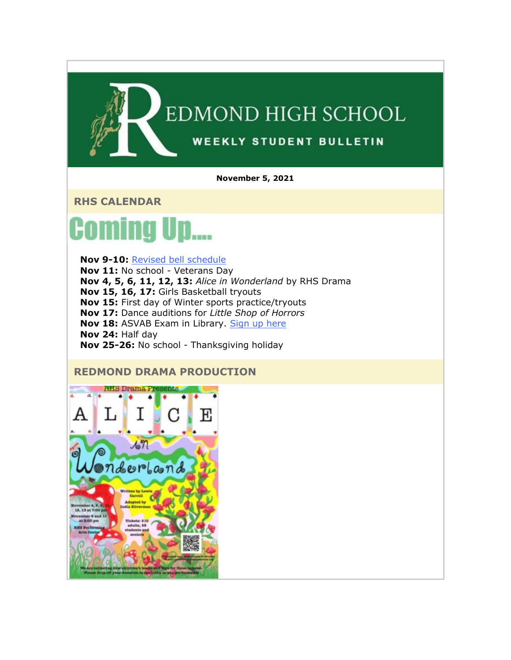

**November 5, 2021**

**RHS CALENDAR**



**Nov 9-10:** [Revised bell schedule](https://nam02.safelinks.protection.outlook.com/?url=http%3A%2F%2Flink.email.dynect.net%2Flink.php%3FDynEngagement%3Dtrue%26H%3DbyPkDFxves6EOGDn1peRNeIe02OIJH5CdLqxMLzUeO8xfJUQzDOhsO1bHLttkS3hqpXV6Nsc44yxbPt4syLkKD%252FCI70I%252FIWNS1MTGvrF75v9JpXWBM67dQ%253D%253D%26G%3D0%26R%3Dhttps%253A%252F%252FPMEFGYZTANA.hatchbuck.com%252FTrackLinkClick%253FID2%253DgDS4Dej2fKssBBguvW4U00UWPk6G5o6dR-xAazh22p-0i6y0bATPRP8vqnATi38W0%26I%3D20211105224535.000000143274%2540mail6-64-ussnn1%26X%3DMHwxMjY0OTIyOjIzMTQxMTU3NTY7MXwxMjY0OTIzOjE4NTI0OTc0MTs%253D%26V%3D3%26S%3D3jVvimagkcsPE6h1k_Uw9ndMztr5vw0kGbwxzsb4W6w&data=04%7C01%7Cmwood%40lwsd.org%7Ce8cd8cf4a0a2492de09808d9a0adfbdf%7C1fd4673fdf9646218638a1d88c4c85d7%7C0%7C0%7C637717491384216379%7CUnknown%7CTWFpbGZsb3d8eyJWIjoiMC4wLjAwMDAiLCJQIjoiV2luMzIiLCJBTiI6Ik1haWwiLCJXVCI6Mn0%3D%7C1000&sdata=QhVNHv9%2FWn8UGCkt4T5dkPtjOZFWFO5HmGMduUvJ%2F7Y%3D&reserved=0) **Nov 11:** No school - Veterans Day **Nov 4, 5, 6, 11, 12, 13:** *Alice in Wonderland* by RHS Drama **Nov 15, 16, 17:** Girls Basketball tryouts **Nov 15:** First day of Winter sports practice/tryouts **Nov 17:** Dance auditions for *Little Shop of Horrors* **Nov 18:** ASVAB Exam in Library. [Sign up here](https://nam02.safelinks.protection.outlook.com/?url=http%3A%2F%2Flink.email.dynect.net%2Flink.php%3FDynEngagement%3Dtrue%26H%3DbyPkDFxves6EOGDn1peRNeIe02OIJH5CdLqxMLzUeO8xfJUQzDOhsO1bHLttkS3hqpXV6Nsc44yxbPt4syLkKD%252FCI70I%252FIWNS1MTGvrF75v9JpXWBM67dQ%253D%253D%26G%3D0%26R%3Dhttps%253A%252F%252FPMEFGYZTANA.hatchbuck.com%252FTrackLinkClick%253FID2%253DCQazhvUhILF0BvzMbbBooTFlhdw5aQkP-6_ZHcbP6u6SW3b-sy5aPK2YswULN9zr0%26I%3D20211105224535.000000143274%2540mail6-64-ussnn1%26X%3DMHwxMjY0OTIyOjIzMTQxMTU3NTY7MXwxMjY0OTIzOjE4NTI0OTc0MTs%253D%26V%3D3%26S%3DJsoG2u-tmzpqbjS4Sjk2R0AxJQDrkY43rlj7D6_huZI&data=04%7C01%7Cmwood%40lwsd.org%7Ce8cd8cf4a0a2492de09808d9a0adfbdf%7C1fd4673fdf9646218638a1d88c4c85d7%7C0%7C0%7C637717491384226368%7CUnknown%7CTWFpbGZsb3d8eyJWIjoiMC4wLjAwMDAiLCJQIjoiV2luMzIiLCJBTiI6Ik1haWwiLCJXVCI6Mn0%3D%7C1000&sdata=hkdFovsRn36VxajDqtTI0l3e3Jp3uAGzZX077M3LmZQ%3D&reserved=0) **Nov 24:** Half day **Nov 25-26:** No school - Thanksgiving holiday

## **REDMOND DRAMA PRODUCTION**

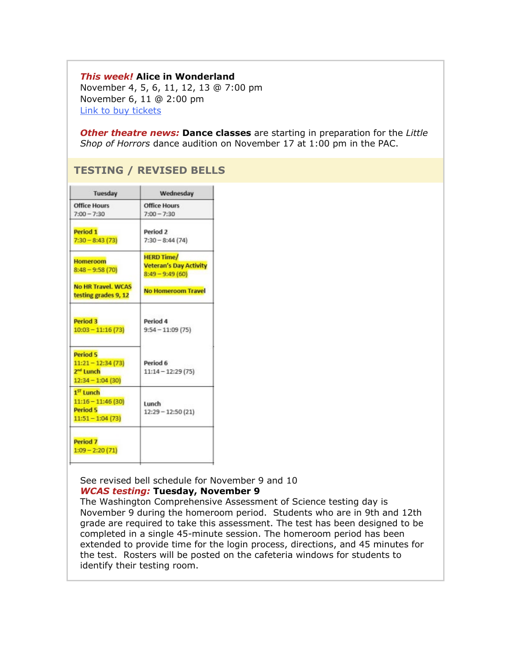#### *This week!* **Alice in Wonderland**

November 4, 5, 6, 11, 12, 13 @ 7:00 pm November 6, 11 @ 2:00 pm [Link to buy tickets](https://nam02.safelinks.protection.outlook.com/?url=http%3A%2F%2Flink.email.dynect.net%2Flink.php%3FDynEngagement%3Dtrue%26H%3DbyPkDFxves6EOGDn1peRNeIe02OIJH5CdLqxMLzUeO8xfJUQzDOhsO1bHLttkS3hqpXV6Nsc44yxbPt4syLkKD%252FCI70I%252FIWNS1MTGvrF75v9JpXWBM67dQ%253D%253D%26G%3D0%26R%3Dhttps%253A%252F%252FPMEFGYZTANA.hatchbuck.com%252FTrackLinkClick%253FID2%253D5TXbA-knawAWaAp0xRLVY_ETIdj7VIV1RcuzEcqAxI9FwVGz1ZI-rwwX6YNTn12n0%26I%3D20211105224535.000000143274%2540mail6-64-ussnn1%26X%3DMHwxMjY0OTIyOjIzMTQxMTU3NTY7MXwxMjY0OTIzOjE4NTI0OTc0MTs%253D%26V%3D3%26S%3DWckRQJB64UTKdJL9cz1WDf4qTETsiJwTEQeYNEkRmwU&data=04%7C01%7Cmwood%40lwsd.org%7Ce8cd8cf4a0a2492de09808d9a0adfbdf%7C1fd4673fdf9646218638a1d88c4c85d7%7C0%7C0%7C637717491384236363%7CUnknown%7CTWFpbGZsb3d8eyJWIjoiMC4wLjAwMDAiLCJQIjoiV2luMzIiLCJBTiI6Ik1haWwiLCJXVCI6Mn0%3D%7C1000&sdata=x%2BNBkKRopGtL9JNXCwI5at4anF8ucm1SHwH%2BjQrzEUs%3D&reserved=0)

*Other theatre news:* **Dance classes** are starting in preparation for the *Little Shop of Horrors* dance audition on November 17 at 1:00 pm in the PAC.

## **TESTING / REVISED BELLS**

| Tuesday                                                                               | Wednesday                       |
|---------------------------------------------------------------------------------------|---------------------------------|
| <b>Office Hours</b>                                                                   | <b>Office Hours</b>             |
| $7:00 - 7:30$                                                                         | $7:00 - 7:30$                   |
| Period 1                                                                              | Period 2                        |
| $7:30 - 8:43(73)$                                                                     | $7:30 - 8:44(74)$               |
| <b>Homeroom</b>                                                                       | <b>HERD Time/</b>               |
| $8:48 - 9:58(70)$                                                                     | <b>Veteran's Day Activity</b>   |
| <b>No HR Travel, WCAS</b>                                                             | $8:49 - 9:49(60)$               |
| testing grades 9, 12                                                                  | <b>No Homeroom Travel</b>       |
| Period 3                                                                              | Period 4                        |
| $10:03 - 11:16(73)$                                                                   | $9:54 - 11:09(75)$              |
| Period 5<br>$11:21 - 12:34(73)$<br>2 <sup>nd</sup> Lunch<br>$12:34 - 1:04(30)$        | Period 6<br>$11:14 - 12:29(75)$ |
| 1 <sup>ST</sup> Lunch<br>$11:16 - 11:46(30)$<br><b>Period 5</b><br>$11:51 - 1:04(73)$ | Lunch<br>$12:29 - 12:50(21)$    |
| Period 7<br>$1:09 - 2:20(71)$                                                         |                                 |

See revised bell schedule for November 9 and 10 *WCAS testing:* **Tuesday, November 9**

The Washington Comprehensive Assessment of Science testing day is November 9 during the homeroom period. Students who are in 9th and 12th grade are required to take this assessment. The test has been designed to be completed in a single 45-minute session. The homeroom period has been extended to provide time for the login process, directions, and 45 minutes for the test. Rosters will be posted on the cafeteria windows for students to identify their testing room.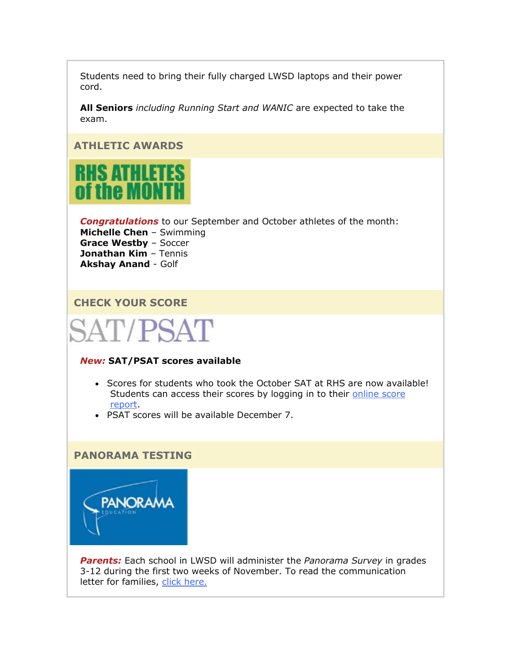Students need to bring their fully charged LWSD laptops and their power cord.

**All Seniors** *including Running Start and WANIC* are expected to take the exam.

## **ATHLETIC AWARDS**



*Congratulations* to our September and October athletes of the month: **Michelle Chen** – Swimming **Grace Westby** – Soccer **Jonathan Kim** – Tennis **Akshay Anand** - Golf

## **CHECK YOUR SCORE**

# SAT/PSAT

#### *New:* **SAT/PSAT scores available**

- Scores for students who took the October SAT at RHS are now available! Students can access their scores by logging in to their online score [report.](https://nam02.safelinks.protection.outlook.com/?url=http%3A%2F%2Flink.email.dynect.net%2Flink.php%3FDynEngagement%3Dtrue%26H%3DbyPkDFxves6EOGDn1peRNeIe02OIJH5CdLqxMLzUeO8xfJUQzDOhsO1bHLttkS3hqpXV6Nsc44yxbPt4syLkKD%252FCI70I%252FIWNS1MTGvrF75v9JpXWBM67dQ%253D%253D%26G%3D0%26R%3Dhttps%253A%252F%252FPMEFGYZTANA.hatchbuck.com%252FTrackLinkClick%253FID2%253DFLrQSNKQvxAA62LNaESMw0hSOBdA9Dl0S3fkbxYjmpvwsLsxtWN2Jdtfb2K3vpJ00%26I%3D20211105224535.000000143274%2540mail6-64-ussnn1%26X%3DMHwxMjY0OTIyOjIzMTQxMTU3NTY7MXwxMjY0OTIzOjE4NTI0OTc0MTs%253D%26V%3D3%26S%3DwHDRRI-HLC3WhP4noQ14pDaC1Khr9gow7C3hoDxxYXk&data=04%7C01%7Cmwood%40lwsd.org%7Ce8cd8cf4a0a2492de09808d9a0adfbdf%7C1fd4673fdf9646218638a1d88c4c85d7%7C0%7C0%7C637717491384236363%7CUnknown%7CTWFpbGZsb3d8eyJWIjoiMC4wLjAwMDAiLCJQIjoiV2luMzIiLCJBTiI6Ik1haWwiLCJXVCI6Mn0%3D%7C1000&sdata=GIr9OmpI%2FPIdemi%2FHn6DYr4eBp8O9ndVubsUvPYJml0%3D&reserved=0)
- PSAT scores will be available December 7.

#### **PANORAMA TESTING**



*Parents:* Each school in LWSD will administer the *Panorama Survey* in grades 3-12 during the first two weeks of November. To read the communication letter for families, [click here.](https://nam02.safelinks.protection.outlook.com/?url=http%3A%2F%2Flink.email.dynect.net%2Flink.php%3FDynEngagement%3Dtrue%26H%3DbyPkDFxves6EOGDn1peRNeIe02OIJH5CdLqxMLzUeO8xfJUQzDOhsO1bHLttkS3hqpXV6Nsc44yxbPt4syLkKD%252FCI70I%252FIWNS1MTGvrF75v9JpXWBM67dQ%253D%253D%26G%3D0%26R%3Dhttps%253A%252F%252FPMEFGYZTANA.hatchbuck.com%252FTrackLinkClick%253FID2%253DD0RYh961qW5-L3QKWQzuMVRMFFdYub3WBXtfNHYnHbGNBt58sU1DsIoIDXFJWdzP0%26I%3D20211105224535.000000143274%2540mail6-64-ussnn1%26X%3DMHwxMjY0OTIyOjIzMTQxMTU3NTY7MXwxMjY0OTIzOjE4NTI0OTc0MTs%253D%26V%3D3%26S%3DPjqCe0PzLf-2_QLe5PzZd7tFOmkKC29sesWiNAkDUfM&data=04%7C01%7Cmwood%40lwsd.org%7Ce8cd8cf4a0a2492de09808d9a0adfbdf%7C1fd4673fdf9646218638a1d88c4c85d7%7C0%7C0%7C637717491384246353%7CUnknown%7CTWFpbGZsb3d8eyJWIjoiMC4wLjAwMDAiLCJQIjoiV2luMzIiLCJBTiI6Ik1haWwiLCJXVCI6Mn0%3D%7C1000&sdata=b90RbJnWhmn1xG6Fy8kSv%2FuU7GmPFIOYqLSizGNC8Bs%3D&reserved=0)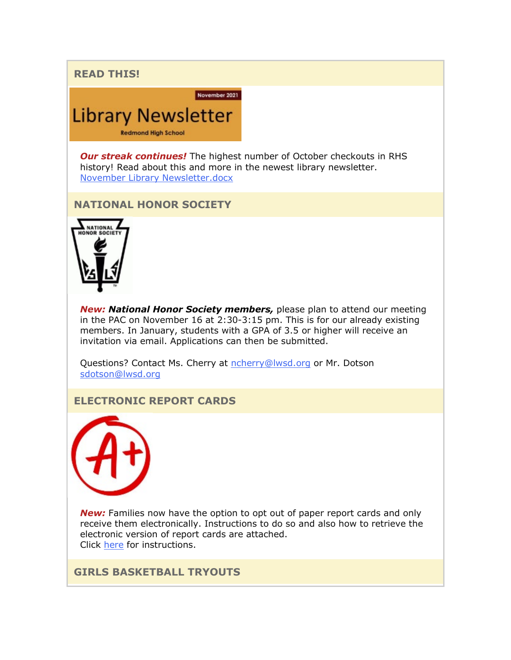**READ THIS!**

November 2021

*Our streak continues!* The highest number of October checkouts in RHS history! Read about this and more in the newest library newsletter. [November Library Newsletter.docx](https://nam02.safelinks.protection.outlook.com/?url=http%3A%2F%2Flink.email.dynect.net%2Flink.php%3FDynEngagement%3Dtrue%26H%3DbyPkDFxves6EOGDn1peRNeIe02OIJH5CdLqxMLzUeO8xfJUQzDOhsO1bHLttkS3hqpXV6Nsc44yxbPt4syLkKD%252FCI70I%252FIWNS1MTGvrF75v9JpXWBM67dQ%253D%253D%26G%3D0%26R%3Dhttps%253A%252F%252FPMEFGYZTANA.hatchbuck.com%252FTrackLinkClick%253FID2%253Dcoc-dtLvGeik5aFk7MO_x8Dz8mNhZOmu2tEA28uPe21tYYMAgOCq87bT9OikCHKb0%26I%3D20211105224535.000000143274%2540mail6-64-ussnn1%26X%3DMHwxMjY0OTIyOjIzMTQxMTU3NTY7MXwxMjY0OTIzOjE4NTI0OTc0MTs%253D%26V%3D3%26S%3DON_cPBDRYPNM-nv0uC4EBCQMi23e8sDancvL_lCWRiw&data=04%7C01%7Cmwood%40lwsd.org%7Ce8cd8cf4a0a2492de09808d9a0adfbdf%7C1fd4673fdf9646218638a1d88c4c85d7%7C0%7C0%7C637717491384246353%7CUnknown%7CTWFpbGZsb3d8eyJWIjoiMC4wLjAwMDAiLCJQIjoiV2luMzIiLCJBTiI6Ik1haWwiLCJXVCI6Mn0%3D%7C1000&sdata=IXaJMAvfHnUtkuWZNqwDSoeFr5aNEDtuh2QBa8RMt98%3D&reserved=0)

**NATIONAL HONOR SOCIETY**

**Library Newsletter** 

**Redmond High School** 



*New: National Honor Society members,* please plan to attend our meeting in the PAC on November 16 at 2:30-3:15 pm. This is for our already existing members. In January, students with a GPA of 3.5 or higher will receive an invitation via email. Applications can then be submitted.

Questions? Contact Ms. Cherry at [ncherry@lwsd.org](mailto:ncherry@lwsd.org) or Mr. Dotson [sdotson@lwsd.org](mailto:sdotson@lwsd.org)

## **ELECTRONIC REPORT CARDS**



**New:** Families now have the option to opt out of paper report cards and only receive them electronically. Instructions to do so and also how to retrieve the electronic version of report cards are attached. Click [here](https://nam02.safelinks.protection.outlook.com/?url=http%3A%2F%2Flink.email.dynect.net%2Flink.php%3FDynEngagement%3Dtrue%26H%3DbyPkDFxves6EOGDn1peRNeIe02OIJH5CdLqxMLzUeO8xfJUQzDOhsO1bHLttkS3hqpXV6Nsc44yxbPt4syLkKD%252FCI70I%252FIWNS1MTGvrF75v9JpXWBM67dQ%253D%253D%26G%3D0%26R%3Dhttps%253A%252F%252FPMEFGYZTANA.hatchbuck.com%252FTrackLinkClick%253FID2%253Do0JT2bqndMpdZ2APXSWNbQ_2YcT6Rgu0I4ypidaYL5HTbWzbSHPRlkPNRCiO6qgB0%26I%3D20211105224535.000000143274%2540mail6-64-ussnn1%26X%3DMHwxMjY0OTIyOjIzMTQxMTU3NTY7MXwxMjY0OTIzOjE4NTI0OTc0MTs%253D%26V%3D3%26S%3D888i-6WoZSxNFGR8BkVWc1ahUTBc-sBSJJX3GGFGu3A&data=04%7C01%7Cmwood%40lwsd.org%7Ce8cd8cf4a0a2492de09808d9a0adfbdf%7C1fd4673fdf9646218638a1d88c4c85d7%7C0%7C0%7C637717491384256349%7CUnknown%7CTWFpbGZsb3d8eyJWIjoiMC4wLjAwMDAiLCJQIjoiV2luMzIiLCJBTiI6Ik1haWwiLCJXVCI6Mn0%3D%7C1000&sdata=lCK0NIIpgpFXvUXTFcpdWduz3RRmvZVRAR2arsx1STU%3D&reserved=0) for instructions.

**GIRLS BASKETBALL TRYOUTS**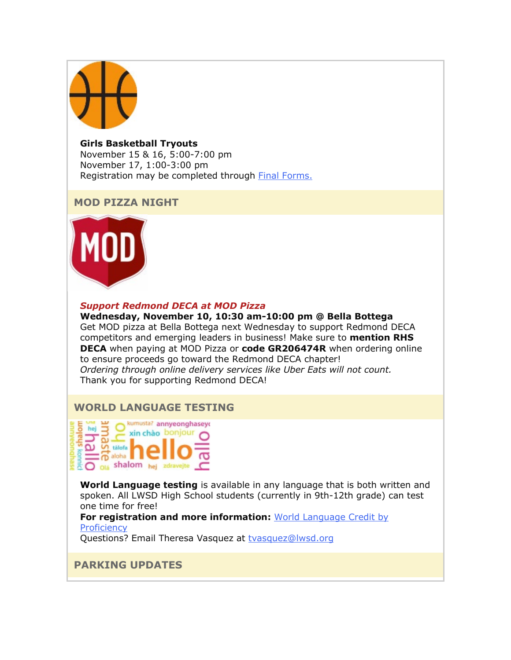

**Girls Basketball Tryouts** November 15 & 16, 5:00-7:00 pm November 17, 1:00-3:00 pm Registration may be completed through [Final Forms.](https://nam02.safelinks.protection.outlook.com/?url=http%3A%2F%2Flink.email.dynect.net%2Flink.php%3FDynEngagement%3Dtrue%26H%3DbyPkDFxves6EOGDn1peRNeIe02OIJH5CdLqxMLzUeO8xfJUQzDOhsO1bHLttkS3hqpXV6Nsc44yxbPt4syLkKD%252FCI70I%252FIWNS1MTGvrF75v9JpXWBM67dQ%253D%253D%26G%3D0%26R%3Dhttps%253A%252F%252FPMEFGYZTANA.hatchbuck.com%252FTrackLinkClick%253FID2%253DmJJ41DCrGIxTAKbMlQ_OROuepaJGGuMSmTCOwqiSLf9ymRX2yenNToZc2AP6swOy0%26I%3D20211105224535.000000143274%2540mail6-64-ussnn1%26X%3DMHwxMjY0OTIyOjIzMTQxMTU3NTY7MXwxMjY0OTIzOjE4NTI0OTc0MTs%253D%26V%3D3%26S%3Dew2Ur1iPbR-dxcs0AYVBmex9kmU26Cvnmfl2SaVSLGE&data=04%7C01%7Cmwood%40lwsd.org%7Ce8cd8cf4a0a2492de09808d9a0adfbdf%7C1fd4673fdf9646218638a1d88c4c85d7%7C0%7C0%7C637717491384266342%7CUnknown%7CTWFpbGZsb3d8eyJWIjoiMC4wLjAwMDAiLCJQIjoiV2luMzIiLCJBTiI6Ik1haWwiLCJXVCI6Mn0%3D%7C1000&sdata=VwZTM944Y%2FoQjgQsog8Dqr1MU8MoY62ydTnK8E7chQA%3D&reserved=0)

## **MOD PIZZA NIGHT**



#### *Support Redmond DECA at MOD Pizza*

**Wednesday, November 10, 10:30 am-10:00 pm @ Bella Bottega** Get MOD pizza at Bella Bottega next Wednesday to support Redmond DECA competitors and emerging leaders in business! Make sure to **mention RHS DECA** when paying at MOD Pizza or **code GR206474R** when ordering online to ensure proceeds go toward the Redmond DECA chapter! *Ordering through online delivery services like Uber Eats will not count.* Thank you for supporting Redmond DECA!

## **WORLD LANGUAGE TESTING**

kumusta? annyeonghaseyo hej  $\exists$ xin chào bonjour  $\omega$  .  $\Omega$   $\Omega$  tálofa  $\overline{p}$ aloha **CO** Ola shalom hej zdrave

**World Language testing** is available in any language that is both written and spoken. All LWSD High School students (currently in 9th-12th grade) can test one time for free!

**For registration and more information:** [World Language Credit by](https://nam02.safelinks.protection.outlook.com/?url=http%3A%2F%2Flink.email.dynect.net%2Flink.php%3FDynEngagement%3Dtrue%26H%3DbyPkDFxves6EOGDn1peRNeIe02OIJH5CdLqxMLzUeO8xfJUQzDOhsO1bHLttkS3hqpXV6Nsc44yxbPt4syLkKD%252FCI70I%252FIWNS1MTGvrF75v9JpXWBM67dQ%253D%253D%26G%3D0%26R%3Dhttps%253A%252F%252FPMEFGYZTANA.hatchbuck.com%252FTrackLinkClick%253FID2%253DYV2RDkY2Rcn7W1yJU9eqJfdp3Vw2Iplqefj22T4Df94PhkX0KRUfHSP2bR7BMHVZ0%26I%3D20211105224535.000000143274%2540mail6-64-ussnn1%26X%3DMHwxMjY0OTIyOjIzMTQxMTU3NTY7MXwxMjY0OTIzOjE4NTI0OTc0MTs%253D%26V%3D3%26S%3DO-cWZ-k_y32sE7xNN-bcPPNEDIMrIu2Gp7IysYJJ57E&data=04%7C01%7Cmwood%40lwsd.org%7Ce8cd8cf4a0a2492de09808d9a0adfbdf%7C1fd4673fdf9646218638a1d88c4c85d7%7C0%7C0%7C637717491384266342%7CUnknown%7CTWFpbGZsb3d8eyJWIjoiMC4wLjAwMDAiLCJQIjoiV2luMzIiLCJBTiI6Ik1haWwiLCJXVCI6Mn0%3D%7C1000&sdata=KLVjKAfp39062WT%2BvNrhXNTiyHHOynyZQis9lzhN0Kw%3D&reserved=0)  **[Proficiency](https://nam02.safelinks.protection.outlook.com/?url=http%3A%2F%2Flink.email.dynect.net%2Flink.php%3FDynEngagement%3Dtrue%26H%3DbyPkDFxves6EOGDn1peRNeIe02OIJH5CdLqxMLzUeO8xfJUQzDOhsO1bHLttkS3hqpXV6Nsc44yxbPt4syLkKD%252FCI70I%252FIWNS1MTGvrF75v9JpXWBM67dQ%253D%253D%26G%3D0%26R%3Dhttps%253A%252F%252FPMEFGYZTANA.hatchbuck.com%252FTrackLinkClick%253FID2%253DYV2RDkY2Rcn7W1yJU9eqJfdp3Vw2Iplqefj22T4Df94PhkX0KRUfHSP2bR7BMHVZ0%26I%3D20211105224535.000000143274%2540mail6-64-ussnn1%26X%3DMHwxMjY0OTIyOjIzMTQxMTU3NTY7MXwxMjY0OTIzOjE4NTI0OTc0MTs%253D%26V%3D3%26S%3DO-cWZ-k_y32sE7xNN-bcPPNEDIMrIu2Gp7IysYJJ57E&data=04%7C01%7Cmwood%40lwsd.org%7Ce8cd8cf4a0a2492de09808d9a0adfbdf%7C1fd4673fdf9646218638a1d88c4c85d7%7C0%7C0%7C637717491384266342%7CUnknown%7CTWFpbGZsb3d8eyJWIjoiMC4wLjAwMDAiLCJQIjoiV2luMzIiLCJBTiI6Ik1haWwiLCJXVCI6Mn0%3D%7C1000&sdata=KLVjKAfp39062WT%2BvNrhXNTiyHHOynyZQis9lzhN0Kw%3D&reserved=0)** 

Questions? Email Theresa Vasquez at [tvasquez@lwsd.org](mailto:tvasquez@lwsd.org)

## **PARKING UPDATES**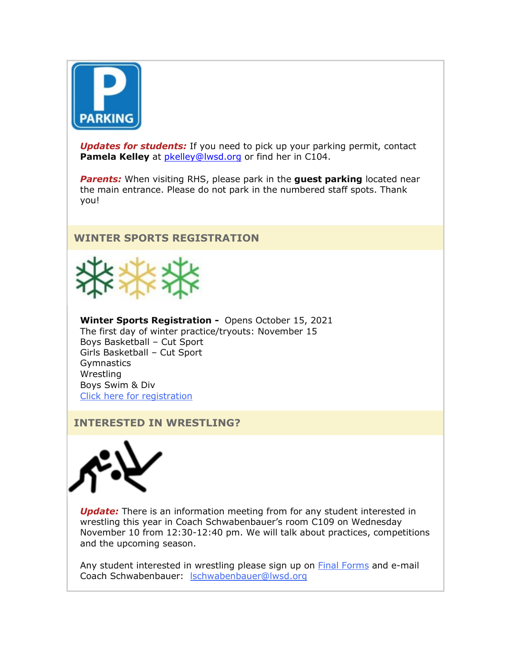

**Updates for students:** If you need to pick up your parking permit, contact **Pamela Kelley** at [pkelley@lwsd.org](mailto:pkelley@lwsd.org) or find her in C104.

*Parents:* When visiting RHS, please park in the **guest parking** located near the main entrance. Please do not park in the numbered staff spots. Thank you!

## **WINTER SPORTS REGISTRATION**



**Winter Sports Registration -** Opens October 15, 2021 The first day of winter practice/tryouts: November 15 Boys Basketball – Cut Sport Girls Basketball – Cut Sport **Gymnastics Wrestling** Boys Swim & Div Click here for [registration](https://nam02.safelinks.protection.outlook.com/?url=http%3A%2F%2Flink.email.dynect.net%2Flink.php%3FDynEngagement%3Dtrue%26H%3DbyPkDFxves6EOGDn1peRNeIe02OIJH5CdLqxMLzUeO8xfJUQzDOhsO1bHLttkS3hqpXV6Nsc44yxbPt4syLkKD%252FCI70I%252FIWNS1MTGvrF75v9JpXWBM67dQ%253D%253D%26G%3D0%26R%3Dhttps%253A%252F%252FPMEFGYZTANA.hatchbuck.com%252FTrackLinkClick%253FID2%253DmJJ41DCrGIxTAKbMlQ_OROuepaJGGuMSmTCOwqiSLf9ymRX2yenNToZc2AP6swOy0%26I%3D20211105224535.000000143274%2540mail6-64-ussnn1%26X%3DMHwxMjY0OTIyOjIzMTQxMTU3NTY7MXwxMjY0OTIzOjE4NTI0OTc0MTs%253D%26V%3D3%26S%3Dew2Ur1iPbR-dxcs0AYVBmex9kmU26Cvnmfl2SaVSLGE&data=04%7C01%7Cmwood%40lwsd.org%7Ce8cd8cf4a0a2492de09808d9a0adfbdf%7C1fd4673fdf9646218638a1d88c4c85d7%7C0%7C0%7C637717491384276335%7CUnknown%7CTWFpbGZsb3d8eyJWIjoiMC4wLjAwMDAiLCJQIjoiV2luMzIiLCJBTiI6Ik1haWwiLCJXVCI6Mn0%3D%7C1000&sdata=XBmsgOVhOtHsWbSVvfflPwY57he5yCjozr7XclJRBxU%3D&reserved=0)

### **INTERESTED IN WRESTLING?**



**Update:** There is an information meeting from for any student interested in wrestling this year in Coach Schwabenbauer's room C109 on Wednesday November 10 from 12:30-12:40 pm. We will talk about practices, competitions and the upcoming season.

Any student interested in wrestling please sign up on **[Final Forms](https://nam02.safelinks.protection.outlook.com/?url=http%3A%2F%2Flink.email.dynect.net%2Flink.php%3FDynEngagement%3Dtrue%26H%3DbyPkDFxves6EOGDn1peRNeIe02OIJH5CdLqxMLzUeO8xfJUQzDOhsO1bHLttkS3hqpXV6Nsc44yxbPt4syLkKD%252FCI70I%252FIWNS1MTGvrF75v9JpXWBM67dQ%253D%253D%26G%3D0%26R%3Dhttps%253A%252F%252FPMEFGYZTANA.hatchbuck.com%252FTrackLinkClick%253FID2%253DmJJ41DCrGIxTAKbMlQ_OROuepaJGGuMSmTCOwqiSLf9ymRX2yenNToZc2AP6swOy0%26I%3D20211105224535.000000143274%2540mail6-64-ussnn1%26X%3DMHwxMjY0OTIyOjIzMTQxMTU3NTY7MXwxMjY0OTIzOjE4NTI0OTc0MTs%253D%26V%3D3%26S%3Dew2Ur1iPbR-dxcs0AYVBmex9kmU26Cvnmfl2SaVSLGE&data=04%7C01%7Cmwood%40lwsd.org%7Ce8cd8cf4a0a2492de09808d9a0adfbdf%7C1fd4673fdf9646218638a1d88c4c85d7%7C0%7C0%7C637717491384276335%7CUnknown%7CTWFpbGZsb3d8eyJWIjoiMC4wLjAwMDAiLCJQIjoiV2luMzIiLCJBTiI6Ik1haWwiLCJXVCI6Mn0%3D%7C1000&sdata=XBmsgOVhOtHsWbSVvfflPwY57he5yCjozr7XclJRBxU%3D&reserved=0)** and e-mail Coach Schwabenbauer: [lschwabenbauer@lwsd.org](mailto:lschwabenbauer@lwsd.org)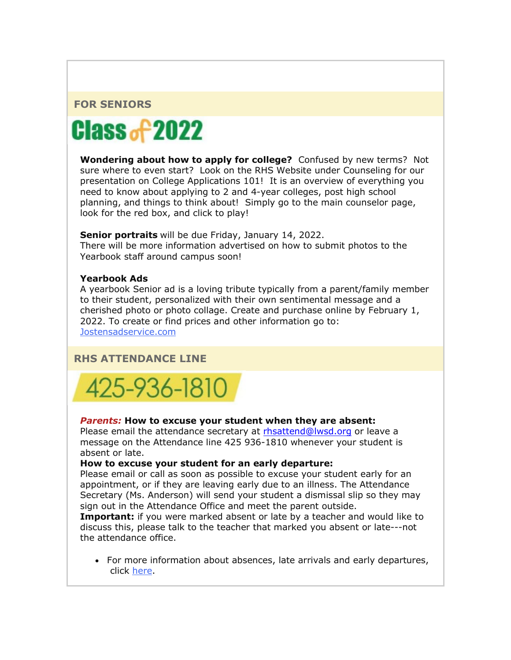## **FOR SENIORS**



**Wondering about how to apply for college?** Confused by new terms? Not sure where to even start? Look on the RHS Website under Counseling for our presentation on College Applications 101! It is an overview of everything you need to know about applying to 2 and 4-year colleges, post high school planning, and things to think about! Simply go to the main counselor page, look for the red box, and click to play!

**Senior portraits** will be due Friday, January 14, 2022. There will be more information advertised on how to submit photos to the Yearbook staff around campus soon!

#### **Yearbook Ads**

A yearbook Senior ad is a loving tribute typically from a parent/family member to their student, personalized with their own sentimental message and a cherished photo or photo collage. Create and purchase online by February 1, 2022. To create or find prices and other information go to: [Jostensadservice.com](https://nam02.safelinks.protection.outlook.com/?url=http%3A%2F%2Flink.email.dynect.net%2Flink.php%3FDynEngagement%3Dtrue%26H%3DbyPkDFxves6EOGDn1peRNeIe02OIJH5CdLqxMLzUeO8xfJUQzDOhsO1bHLttkS3hqpXV6Nsc44yxbPt4syLkKD%252FCI70I%252FIWNS1MTGvrF75v9JpXWBM67dQ%253D%253D%26G%3D0%26R%3Dhttps%253A%252F%252FPMEFGYZTANA.hatchbuck.com%252FTrackLinkClick%253FID2%253DwmWZAruakAFm0MHBQytrl6fsx4ZwR0T7T9CXKda7E1Nui6-2cnVrhJVyqjrG4uB30%26I%3D20211105224535.000000143274%2540mail6-64-ussnn1%26X%3DMHwxMjY0OTIyOjIzMTQxMTU3NTY7MXwxMjY0OTIzOjE4NTI0OTc0MTs%253D%26V%3D3%26S%3DaA_F6jifQv_DaO4-ihjx8ZjWvRmQ64QbOYLPTiw-W1A&data=04%7C01%7Cmwood%40lwsd.org%7Ce8cd8cf4a0a2492de09808d9a0adfbdf%7C1fd4673fdf9646218638a1d88c4c85d7%7C0%7C0%7C637717491384286330%7CUnknown%7CTWFpbGZsb3d8eyJWIjoiMC4wLjAwMDAiLCJQIjoiV2luMzIiLCJBTiI6Ik1haWwiLCJXVCI6Mn0%3D%7C1000&sdata=hshRyGYSnNK4JrWzwwxZ33rv1HQAbquyk5oFS8mAFL4%3D&reserved=0)

## **RHS ATTENDANCE LINE**



#### *Parents:* **How to excuse your student when they are absent:**

Please email the attendance secretary at [rhsattend@lwsd.org](mailto:rhsattend@lwsd.org) or leave a message on the Attendance line 425 936-1810 whenever your student is absent or late.

#### **How to excuse your student for an early departure:**

Please email or call as soon as possible to excuse your student early for an appointment, or if they are leaving early due to an illness. The Attendance Secretary (Ms. Anderson) will send your student a dismissal slip so they may sign out in the Attendance Office and meet the parent outside.

**Important:** if you were marked absent or late by a teacher and would like to discuss this, please talk to the teacher that marked you absent or late---not the attendance office.

• For more information about absences, late arrivals and early departures, click [here.](https://nam02.safelinks.protection.outlook.com/?url=http%3A%2F%2Flink.email.dynect.net%2Flink.php%3FDynEngagement%3Dtrue%26H%3DbyPkDFxves6EOGDn1peRNeIe02OIJH5CdLqxMLzUeO8xfJUQzDOhsO1bHLttkS3hqpXV6Nsc44yxbPt4syLkKD%252FCI70I%252FIWNS1MTGvrF75v9JpXWBM67dQ%253D%253D%26G%3D0%26R%3Dhttps%253A%252F%252FPMEFGYZTANA.hatchbuck.com%252FTrackLinkClick%253FID2%253DwFBQO04DvtFA75BKzXlgLK21YzqsDuMzeF5xIJHIf4ckWsmKHi2gnjFHLffjo3zD0%26I%3D20211105224535.000000143274%2540mail6-64-ussnn1%26X%3DMHwxMjY0OTIyOjIzMTQxMTU3NTY7MXwxMjY0OTIzOjE4NTI0OTc0MTs%253D%26V%3D3%26S%3D8vtwnEXj63sn6cXn-AgrNjwW7iFwiB_6pcisgjOSao8&data=04%7C01%7Cmwood%40lwsd.org%7Ce8cd8cf4a0a2492de09808d9a0adfbdf%7C1fd4673fdf9646218638a1d88c4c85d7%7C0%7C0%7C637717491384296325%7CUnknown%7CTWFpbGZsb3d8eyJWIjoiMC4wLjAwMDAiLCJQIjoiV2luMzIiLCJBTiI6Ik1haWwiLCJXVCI6Mn0%3D%7C1000&sdata=2piYZ%2F6dcpvVsusAT%2Bqr5u8Pf4%2FqWcX7AaLZkVpva74%3D&reserved=0)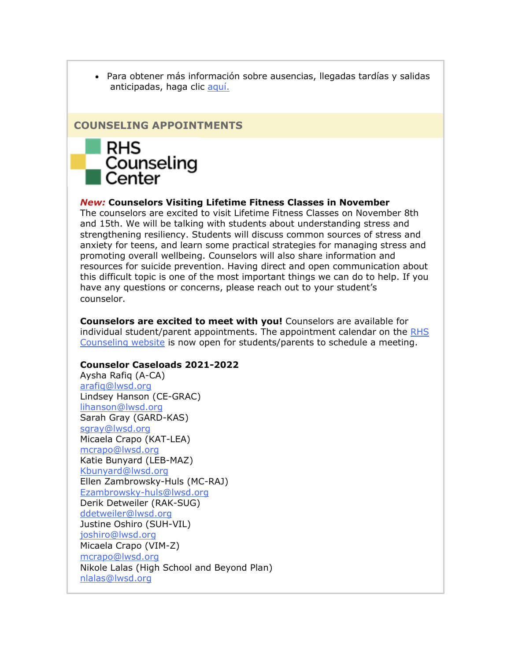• Para obtener más información sobre ausencias, llegadas tardías y salidas anticipadas, haga clic [aquí.](https://nam02.safelinks.protection.outlook.com/?url=http%3A%2F%2Flink.email.dynect.net%2Flink.php%3FDynEngagement%3Dtrue%26H%3DbyPkDFxves6EOGDn1peRNeIe02OIJH5CdLqxMLzUeO8xfJUQzDOhsO1bHLttkS3hqpXV6Nsc44yxbPt4syLkKD%252FCI70I%252FIWNS1MTGvrF75v9JpXWBM67dQ%253D%253D%26G%3D0%26R%3Dhttps%253A%252F%252FPMEFGYZTANA.hatchbuck.com%252FTrackLinkClick%253FID2%253DllITYIV5NqQBi3eAKEgw1vnpZSF4EiYM7L7SnLuQTCzwGmFFr7Hwpi6tP9LGCkMW0%26I%3D20211105224535.000000143274%2540mail6-64-ussnn1%26X%3DMHwxMjY0OTIyOjIzMTQxMTU3NTY7MXwxMjY0OTIzOjE4NTI0OTc0MTs%253D%26V%3D3%26S%3DiMFd_0imLSTN4kwvOEtspG7rp3W0f9q8KMBdXcYayIU&data=04%7C01%7Cmwood%40lwsd.org%7Ce8cd8cf4a0a2492de09808d9a0adfbdf%7C1fd4673fdf9646218638a1d88c4c85d7%7C0%7C0%7C637717491384296325%7CUnknown%7CTWFpbGZsb3d8eyJWIjoiMC4wLjAwMDAiLCJQIjoiV2luMzIiLCJBTiI6Ik1haWwiLCJXVCI6Mn0%3D%7C1000&sdata=H7XVaH1XdmeIkPvYGm70owD%2BiKTi%2BLx15IdfqbGw7IY%3D&reserved=0)

## **COUNSELING APPOINTMENTS**



#### *New:* **Counselors Visiting Lifetime Fitness Classes in November**

The counselors are excited to visit Lifetime Fitness Classes on November 8th and 15th. We will be talking with students about understanding stress and strengthening resiliency. Students will discuss common sources of stress and anxiety for teens, and learn some practical strategies for managing stress and promoting overall wellbeing. Counselors will also share information and resources for suicide prevention. Having direct and open communication about this difficult topic is one of the most important things we can do to help. If you have any questions or concerns, please reach out to your student's counselor.

**Counselors are excited to meet with you!** Counselors are available for individual student/parent appointments. The appointment calendar on the [RHS](https://nam02.safelinks.protection.outlook.com/?url=http%3A%2F%2Flink.email.dynect.net%2Flink.php%3FDynEngagement%3Dtrue%26H%3DbyPkDFxves6EOGDn1peRNeIe02OIJH5CdLqxMLzUeO8xfJUQzDOhsO1bHLttkS3hqpXV6Nsc44yxbPt4syLkKD%252FCI70I%252FIWNS1MTGvrF75v9JpXWBM67dQ%253D%253D%26G%3D0%26R%3Dhttps%253A%252F%252FPMEFGYZTANA.hatchbuck.com%252FTrackLinkClick%253FID2%253DiRTAuKftKkHu7aLb3kJI9DYTdQGeHGux0AHG1SbzoHOUwfC5DpacWLTaS3-WTb6_0%26I%3D20211105224535.000000143274%2540mail6-64-ussnn1%26X%3DMHwxMjY0OTIyOjIzMTQxMTU3NTY7MXwxMjY0OTIzOjE4NTI0OTc0MTs%253D%26V%3D3%26S%3DtdT1xRoafCLnZ9_0SE3Hmvyck9fcVm0M_BAkkhPFymA&data=04%7C01%7Cmwood%40lwsd.org%7Ce8cd8cf4a0a2492de09808d9a0adfbdf%7C1fd4673fdf9646218638a1d88c4c85d7%7C0%7C0%7C637717491384306316%7CUnknown%7CTWFpbGZsb3d8eyJWIjoiMC4wLjAwMDAiLCJQIjoiV2luMzIiLCJBTiI6Ik1haWwiLCJXVCI6Mn0%3D%7C1000&sdata=PBvUXFmwR074bql%2FKBsDps%2Bf4csskKxm1LXFRhwXJO4%3D&reserved=0)  [Counseling website](https://nam02.safelinks.protection.outlook.com/?url=http%3A%2F%2Flink.email.dynect.net%2Flink.php%3FDynEngagement%3Dtrue%26H%3DbyPkDFxves6EOGDn1peRNeIe02OIJH5CdLqxMLzUeO8xfJUQzDOhsO1bHLttkS3hqpXV6Nsc44yxbPt4syLkKD%252FCI70I%252FIWNS1MTGvrF75v9JpXWBM67dQ%253D%253D%26G%3D0%26R%3Dhttps%253A%252F%252FPMEFGYZTANA.hatchbuck.com%252FTrackLinkClick%253FID2%253DiRTAuKftKkHu7aLb3kJI9DYTdQGeHGux0AHG1SbzoHOUwfC5DpacWLTaS3-WTb6_0%26I%3D20211105224535.000000143274%2540mail6-64-ussnn1%26X%3DMHwxMjY0OTIyOjIzMTQxMTU3NTY7MXwxMjY0OTIzOjE4NTI0OTc0MTs%253D%26V%3D3%26S%3DtdT1xRoafCLnZ9_0SE3Hmvyck9fcVm0M_BAkkhPFymA&data=04%7C01%7Cmwood%40lwsd.org%7Ce8cd8cf4a0a2492de09808d9a0adfbdf%7C1fd4673fdf9646218638a1d88c4c85d7%7C0%7C0%7C637717491384306316%7CUnknown%7CTWFpbGZsb3d8eyJWIjoiMC4wLjAwMDAiLCJQIjoiV2luMzIiLCJBTiI6Ik1haWwiLCJXVCI6Mn0%3D%7C1000&sdata=PBvUXFmwR074bql%2FKBsDps%2Bf4csskKxm1LXFRhwXJO4%3D&reserved=0) is now open for students/parents to schedule a meeting.

#### **Counselor Caseloads 2021-2022**

Aysha Rafiq (A-CA) [arafiq@lwsd.org](mailto:arafiq@lwsd.org) Lindsey Hanson (CE-GRAC) [lihanson@lwsd.org](mailto:lihanson@lwsd.org) Sarah Gray (GARD-KAS) [sgray@lwsd.org](mailto:sgray@lwsd.org) Micaela Crapo (KAT-LEA) [mcrapo@lwsd.org](mailto:mcrapo@lwsd.org) Katie Bunyard (LEB-MAZ) [Kbunyard@lwsd.org](mailto:Kbunyard@lwsd.org) Ellen Zambrowsky-Huls (MC-RAJ) [Ezambrowsky-huls@lwsd.org](mailto:Ezambrowsky-huls@lwsd.org) Derik Detweiler (RAK-SUG) [ddetweiler@lwsd.org](mailto:ddetweiler@lwsd.org) Justine Oshiro (SUH-VIL) [joshiro@lwsd.org](mailto:joshiro@lwsd.org) Micaela Crapo (VIM-Z) [mcrapo@lwsd.org](mailto:mcrapo@lwsd.org) Nikole Lalas (High School and Beyond Plan) [nlalas@lwsd.org](mailto:nlalas@lwsd.org)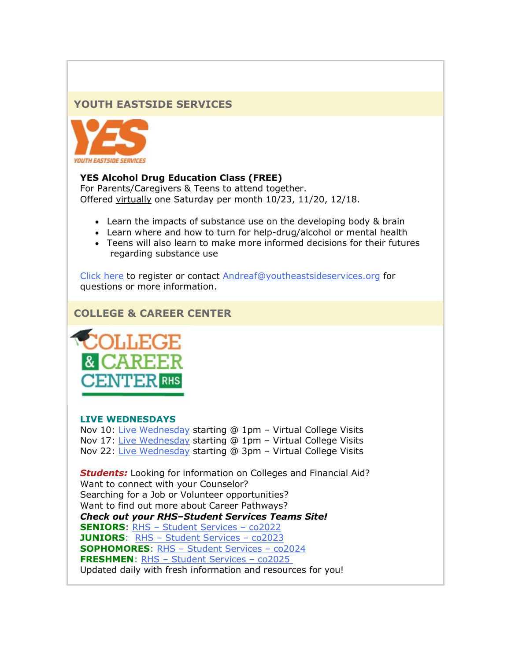## **YOUTH EASTSIDE SERVICES**



#### **YES Alcohol Drug Education Class (FREE)**

For Parents/Caregivers & Teens to attend together. Offered virtually one Saturday per month 10/23, 11/20, 12/18.

- Learn the impacts of substance use on the developing body & brain
- Learn where and how to turn for help-drug/alcohol or mental health
- Teens will also learn to make more informed decisions for their futures regarding substance use

[Click here](https://nam02.safelinks.protection.outlook.com/?url=http%3A%2F%2Flink.email.dynect.net%2Flink.php%3FDynEngagement%3Dtrue%26H%3DbyPkDFxves6EOGDn1peRNeIe02OIJH5CdLqxMLzUeO8xfJUQzDOhsO1bHLttkS3hqpXV6Nsc44yxbPt4syLkKD%252FCI70I%252FIWNS1MTGvrF75v9JpXWBM67dQ%253D%253D%26G%3D0%26R%3Dhttps%253A%252F%252FPMEFGYZTANA.hatchbuck.com%252FTrackLinkClick%253FID2%253DHZtoJaf7Y7M7IWwAOrtKKsJrY84FBUY6FlSBDTSsJZqAt7_pFtWcGFijJ6ird50s0%26I%3D20211105224535.000000143274%2540mail6-64-ussnn1%26X%3DMHwxMjY0OTIyOjIzMTQxMTU3NTY7MXwxMjY0OTIzOjE4NTI0OTc0MTs%253D%26V%3D3%26S%3D4qziTZkFtqpuwAxl1S5MZjrTXWFtB0ThdKPhQbq4les&data=04%7C01%7Cmwood%40lwsd.org%7Ce8cd8cf4a0a2492de09808d9a0adfbdf%7C1fd4673fdf9646218638a1d88c4c85d7%7C0%7C0%7C637717491384306316%7CUnknown%7CTWFpbGZsb3d8eyJWIjoiMC4wLjAwMDAiLCJQIjoiV2luMzIiLCJBTiI6Ik1haWwiLCJXVCI6Mn0%3D%7C1000&sdata=LJ7Koz%2FtwF4V%2FmjXoNKQjcYnKuCS%2BuHZyZzqOL4PJJI%3D&reserved=0) to register or contact [Andreaf@youtheastsideservices.org](mailto:Andreaf@youtheastsideservices.org) for questions or more information.

## **COLLEGE & CAREER CENTER**



#### **LIVE WEDNESDAYS**

Nov 10: [Live Wednesday](https://nam02.safelinks.protection.outlook.com/?url=http%3A%2F%2Flink.email.dynect.net%2Flink.php%3FDynEngagement%3Dtrue%26H%3DbyPkDFxves6EOGDn1peRNeIe02OIJH5CdLqxMLzUeO8xfJUQzDOhsO1bHLttkS3hqpXV6Nsc44yxbPt4syLkKD%252FCI70I%252FIWNS1MTGvrF75v9JpXWBM67dQ%253D%253D%26G%3D0%26R%3Dhttps%253A%252F%252FPMEFGYZTANA.hatchbuck.com%252FTrackLinkClick%253FID2%253DaNUuL0ZLWap8TbE2lNDP_CqouAPgcA45OSrK4_Bq90sO0vpvaSmSgygL7CpaXfFD0%26I%3D20211105224535.000000143274%2540mail6-64-ussnn1%26X%3DMHwxMjY0OTIyOjIzMTQxMTU3NTY7MXwxMjY0OTIzOjE4NTI0OTc0MTs%253D%26V%3D3%26S%3DtOxS3wO_yvGO9Ux3zBO1V-eMC2QW6DZkgBt8_qo8CWg&data=04%7C01%7Cmwood%40lwsd.org%7Ce8cd8cf4a0a2492de09808d9a0adfbdf%7C1fd4673fdf9646218638a1d88c4c85d7%7C0%7C0%7C637717491384316313%7CUnknown%7CTWFpbGZsb3d8eyJWIjoiMC4wLjAwMDAiLCJQIjoiV2luMzIiLCJBTiI6Ik1haWwiLCJXVCI6Mn0%3D%7C1000&sdata=OrT5bC4LnTDN2DqVyKky6PzagiOBD9I215q3dST3rFM%3D&reserved=0) starting @ 1pm - Virtual College Visits Nov 17: [Live Wednesday](https://nam02.safelinks.protection.outlook.com/?url=http%3A%2F%2Flink.email.dynect.net%2Flink.php%3FDynEngagement%3Dtrue%26H%3DbyPkDFxves6EOGDn1peRNeIe02OIJH5CdLqxMLzUeO8xfJUQzDOhsO1bHLttkS3hqpXV6Nsc44yxbPt4syLkKD%252FCI70I%252FIWNS1MTGvrF75v9JpXWBM67dQ%253D%253D%26G%3D0%26R%3Dhttps%253A%252F%252FPMEFGYZTANA.hatchbuck.com%252FTrackLinkClick%253FID2%253DcRfkJafyElpywjQn__73HswDSl4hlYCMLGQIJdg7QalNBITqgG41emghfiAYqqNn0%26I%3D20211105224535.000000143274%2540mail6-64-ussnn1%26X%3DMHwxMjY0OTIyOjIzMTQxMTU3NTY7MXwxMjY0OTIzOjE4NTI0OTc0MTs%253D%26V%3D3%26S%3D-zl-vJ5dzRZtLcRRMyXfAZ_1S-qc59hVVPcQm_edxik&data=04%7C01%7Cmwood%40lwsd.org%7Ce8cd8cf4a0a2492de09808d9a0adfbdf%7C1fd4673fdf9646218638a1d88c4c85d7%7C0%7C0%7C637717491384316313%7CUnknown%7CTWFpbGZsb3d8eyJWIjoiMC4wLjAwMDAiLCJQIjoiV2luMzIiLCJBTiI6Ik1haWwiLCJXVCI6Mn0%3D%7C1000&sdata=2Fw2HdG2m4nX8qu905PYSA4dx0X6W64hiqYYd7sqGc0%3D&reserved=0) starting @ 1pm – Virtual College Visits Nov 22: [Live Wednesday](https://nam02.safelinks.protection.outlook.com/?url=http%3A%2F%2Flink.email.dynect.net%2Flink.php%3FDynEngagement%3Dtrue%26H%3DbyPkDFxves6EOGDn1peRNeIe02OIJH5CdLqxMLzUeO8xfJUQzDOhsO1bHLttkS3hqpXV6Nsc44yxbPt4syLkKD%252FCI70I%252FIWNS1MTGvrF75v9JpXWBM67dQ%253D%253D%26G%3D0%26R%3Dhttps%253A%252F%252FPMEFGYZTANA.hatchbuck.com%252FTrackLinkClick%253FID2%253DBsbhz82jXTKvVNgrDPW7dt1vPKw-Mu4z4eWrqeErexmQYrjSGFxCCmn-ezNQZ1PQ0%26I%3D20211105224535.000000143274%2540mail6-64-ussnn1%26X%3DMHwxMjY0OTIyOjIzMTQxMTU3NTY7MXwxMjY0OTIzOjE4NTI0OTc0MTs%253D%26V%3D3%26S%3DRzkM9NxGKQODJqojr-DMvnAR9rNIYwz6PH07FiWVSpU&data=04%7C01%7Cmwood%40lwsd.org%7Ce8cd8cf4a0a2492de09808d9a0adfbdf%7C1fd4673fdf9646218638a1d88c4c85d7%7C0%7C0%7C637717491384326308%7CUnknown%7CTWFpbGZsb3d8eyJWIjoiMC4wLjAwMDAiLCJQIjoiV2luMzIiLCJBTiI6Ik1haWwiLCJXVCI6Mn0%3D%7C1000&sdata=MGEtxhspQ7wJomlAjqxbGOuW9%2F7kH5nPPY6p3a4uCGQ%3D&reserved=0) starting @ 3pm – Virtual College Visits

*Students:* Looking for information on Colleges and Financial Aid? Want to connect with your Counselor? Searching for a Job or Volunteer opportunities? Want to find out more about Career Pathways? *Check out your RHS–Student Services Teams Site!* **SENIORS**: RHS – [Student Services –](https://nam02.safelinks.protection.outlook.com/?url=http%3A%2F%2Flink.email.dynect.net%2Flink.php%3FDynEngagement%3Dtrue%26H%3DbyPkDFxves6EOGDn1peRNeIe02OIJH5CdLqxMLzUeO8xfJUQzDOhsO1bHLttkS3hqpXV6Nsc44yxbPt4syLkKD%252FCI70I%252FIWNS1MTGvrF75v9JpXWBM67dQ%253D%253D%26G%3D0%26R%3Dhttps%253A%252F%252FPMEFGYZTANA.hatchbuck.com%252FTrackLinkClick%253FID2%253DujjgJSJH_qmQ8osG2gNn1vpw5M7ZvTf6azp5T4j3FI-QM6Qp54qF0SRZSne9fPeo0%26I%3D20211105224535.000000143274%2540mail6-64-ussnn1%26X%3DMHwxMjY0OTIyOjIzMTQxMTU3NTY7MXwxMjY0OTIzOjE4NTI0OTc0MTs%253D%26V%3D3%26S%3D-285tkmXig9MWDgs6WYcVqIvbeXYSwwxztL_jI4OojE&data=04%7C01%7Cmwood%40lwsd.org%7Ce8cd8cf4a0a2492de09808d9a0adfbdf%7C1fd4673fdf9646218638a1d88c4c85d7%7C0%7C0%7C637717491384336304%7CUnknown%7CTWFpbGZsb3d8eyJWIjoiMC4wLjAwMDAiLCJQIjoiV2luMzIiLCJBTiI6Ik1haWwiLCJXVCI6Mn0%3D%7C1000&sdata=E0%2Bbl4uonp5Hn1x%2Fki87ZW05Wnhy1kumgVQvz2nriMQ%3D&reserved=0) co2022 **JUNIORS**: RHS – [Student Services –](https://nam02.safelinks.protection.outlook.com/?url=http%3A%2F%2Flink.email.dynect.net%2Flink.php%3FDynEngagement%3Dtrue%26H%3DbyPkDFxves6EOGDn1peRNeIe02OIJH5CdLqxMLzUeO8xfJUQzDOhsO1bHLttkS3hqpXV6Nsc44yxbPt4syLkKD%252FCI70I%252FIWNS1MTGvrF75v9JpXWBM67dQ%253D%253D%26G%3D0%26R%3Dhttps%253A%252F%252FPMEFGYZTANA.hatchbuck.com%252FTrackLinkClick%253FID2%253DBCa4HOyFsLQdKdh8o2TAGtc8k_N7R3wM6Qlrn_IKCGXx283Ys_Nu46pVGGKLqlB30%26I%3D20211105224535.000000143274%2540mail6-64-ussnn1%26X%3DMHwxMjY0OTIyOjIzMTQxMTU3NTY7MXwxMjY0OTIzOjE4NTI0OTc0MTs%253D%26V%3D3%26S%3DrCedsj9fX8FsQx1jSzQGFSfsncg4EMVzJltf4naQ6-k&data=04%7C01%7Cmwood%40lwsd.org%7Ce8cd8cf4a0a2492de09808d9a0adfbdf%7C1fd4673fdf9646218638a1d88c4c85d7%7C0%7C0%7C637717491384336304%7CUnknown%7CTWFpbGZsb3d8eyJWIjoiMC4wLjAwMDAiLCJQIjoiV2luMzIiLCJBTiI6Ik1haWwiLCJXVCI6Mn0%3D%7C1000&sdata=SgOUoufbs5kI5kAGc6nBbQ5DlJtZK6YmRJHbeeyAukg%3D&reserved=0) co2023 **SOPHOMORES**: RHS – [Student Services –](https://nam02.safelinks.protection.outlook.com/?url=http%3A%2F%2Flink.email.dynect.net%2Flink.php%3FDynEngagement%3Dtrue%26H%3DbyPkDFxves6EOGDn1peRNeIe02OIJH5CdLqxMLzUeO8xfJUQzDOhsO1bHLttkS3hqpXV6Nsc44yxbPt4syLkKD%252FCI70I%252FIWNS1MTGvrF75v9JpXWBM67dQ%253D%253D%26G%3D0%26R%3Dhttps%253A%252F%252FPMEFGYZTANA.hatchbuck.com%252FTrackLinkClick%253FID2%253DBAvFhLKhPTQaEQxbiYEwB-U0c8I82EGl_S8CkqZl4f9GX-Frl2kK39giwfTmFgjS0%26I%3D20211105224535.000000143274%2540mail6-64-ussnn1%26X%3DMHwxMjY0OTIyOjIzMTQxMTU3NTY7MXwxMjY0OTIzOjE4NTI0OTc0MTs%253D%26V%3D3%26S%3DiZXMm_SxeyW8kFLzflJVgL0ZkVagl_dHOoj6QmRK4rA&data=04%7C01%7Cmwood%40lwsd.org%7Ce8cd8cf4a0a2492de09808d9a0adfbdf%7C1fd4673fdf9646218638a1d88c4c85d7%7C0%7C0%7C637717491384346295%7CUnknown%7CTWFpbGZsb3d8eyJWIjoiMC4wLjAwMDAiLCJQIjoiV2luMzIiLCJBTiI6Ik1haWwiLCJXVCI6Mn0%3D%7C1000&sdata=UhUJZaphRlBTR2Ib8l3%2BOZClEJYXcf7zhWDFFmxBExY%3D&reserved=0) co2024 **FRESHMEN**: RHS – [Student Services –](https://nam02.safelinks.protection.outlook.com/?url=http%3A%2F%2Flink.email.dynect.net%2Flink.php%3FDynEngagement%3Dtrue%26H%3DbyPkDFxves6EOGDn1peRNeIe02OIJH5CdLqxMLzUeO8xfJUQzDOhsO1bHLttkS3hqpXV6Nsc44yxbPt4syLkKD%252FCI70I%252FIWNS1MTGvrF75v9JpXWBM67dQ%253D%253D%26G%3D0%26R%3Dhttps%253A%252F%252FPMEFGYZTANA.hatchbuck.com%252FTrackLinkClick%253FID2%253DSFqj9biuWGXZA2qOR_6u4TFGFL9I9bg3jsMpaW-Z6hk2KChs4rGDWV_fuWGxNlBD0%26I%3D20211105224535.000000143274%2540mail6-64-ussnn1%26X%3DMHwxMjY0OTIyOjIzMTQxMTU3NTY7MXwxMjY0OTIzOjE4NTI0OTc0MTs%253D%26V%3D3%26S%3DQeqjQDhKNiLOZ6hy_-PA6xYcOE_H9P0hcMtlvUcWa0Q&data=04%7C01%7Cmwood%40lwsd.org%7Ce8cd8cf4a0a2492de09808d9a0adfbdf%7C1fd4673fdf9646218638a1d88c4c85d7%7C0%7C0%7C637717491384356294%7CUnknown%7CTWFpbGZsb3d8eyJWIjoiMC4wLjAwMDAiLCJQIjoiV2luMzIiLCJBTiI6Ik1haWwiLCJXVCI6Mn0%3D%7C1000&sdata=F%2BDcIpkA4VpwOFdBj3Ir9mVtbJufqRFKVg6At3Od8G0%3D&reserved=0) co2025 Updated daily with fresh information and resources for you!